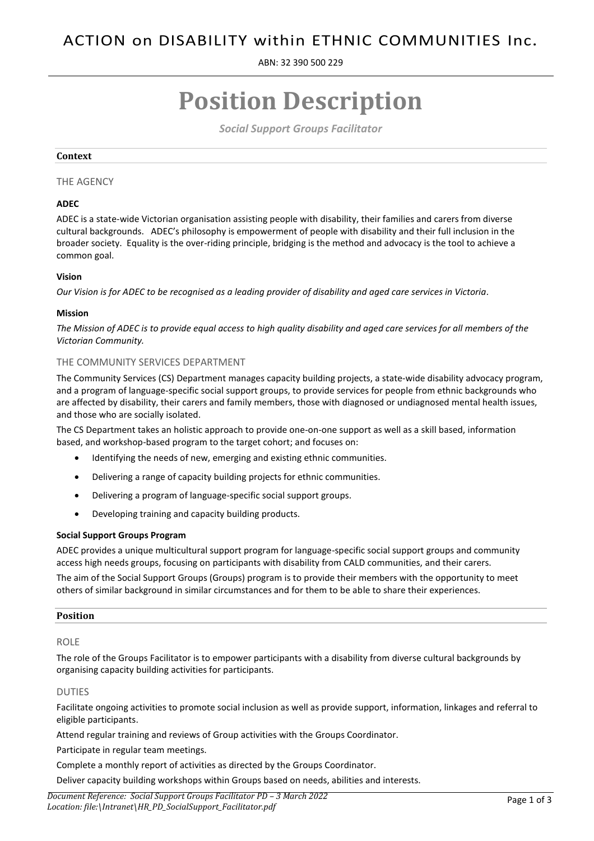ABN: 32 390 500 229

# **Position Description**

*Social Support Groups Facilitator*

## **Context**

# THE AGENCY

# **ADEC**

ADEC is a state-wide Victorian organisation assisting people with disability, their families and carers from diverse cultural backgrounds. ADEC's philosophy is empowerment of people with disability and their full inclusion in the broader society. Equality is the over-riding principle, bridging is the method and advocacy is the tool to achieve a common goal.

# **Vision**

*Our Vision is for ADEC to be recognised as a leading provider of disability and aged care services in Victoria.*

## **Mission**

*The Mission of ADEC is to provide equal access to high quality disability and aged care services for all members of the Victorian Community.*

# THE COMMUNITY SERVICES DEPARTMENT

The Community Services (CS) Department manages capacity building projects, a state-wide disability advocacy program, and a program of language-specific social support groups, to provide services for people from ethnic backgrounds who are affected by disability, their carers and family members, those with diagnosed or undiagnosed mental health issues, and those who are socially isolated.

The CS Department takes an holistic approach to provide one-on-one support as well as a skill based, information based, and workshop-based program to the target cohort; and focuses on:

- Identifying the needs of new, emerging and existing ethnic communities.
- Delivering a range of capacity building projects for ethnic communities.
- Delivering a program of language-specific social support groups.
- Developing training and capacity building products.

#### **Social Support Groups Program**

ADEC provides a unique multicultural support program for language-specific social support groups and community access high needs groups, focusing on participants with disability from CALD communities, and their carers.

The aim of the Social Support Groups (Groups) program is to provide their members with the opportunity to meet others of similar background in similar circumstances and for them to be able to share their experiences.

## **Position**

# ROLE

The role of the Groups Facilitator is to empower participants with a disability from diverse cultural backgrounds by organising capacity building activities for participants.

#### DUTIES

Facilitate ongoing activities to promote social inclusion as well as provide support, information, linkages and referral to eligible participants.

Attend regular training and reviews of Group activities with the Groups Coordinator.

Participate in regular team meetings.

Complete a monthly report of activities as directed by the Groups Coordinator.

Deliver capacity building workshops within Groups based on needs, abilities and interests.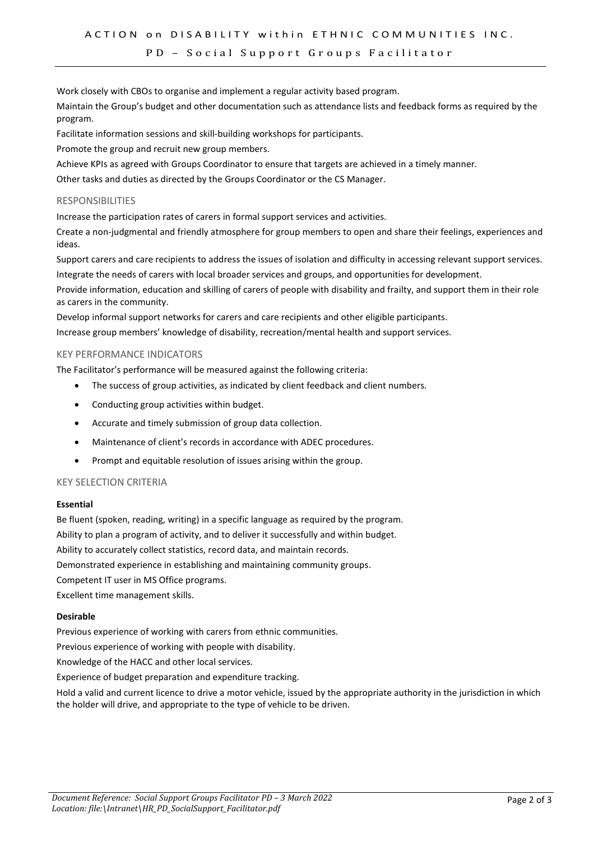## PD – Social Support Groups Facilitator

Work closely with CBOs to organise and implement a regular activity based program.

Maintain the Group's budget and other documentation such as attendance lists and feedback forms as required by the program.

Facilitate information sessions and skill-building workshops for participants.

Promote the group and recruit new group members.

Achieve KPIs as agreed with Groups Coordinator to ensure that targets are achieved in a timely manner.

Other tasks and duties as directed by the Groups Coordinator or the CS Manager.

## RESPONSIBILITIES

Increase the participation rates of carers in formal support services and activities.

Create a non-judgmental and friendly atmosphere for group members to open and share their feelings, experiences and ideas.

Support carers and care recipients to address the issues of isolation and difficulty in accessing relevant support services. Integrate the needs of carers with local broader services and groups, and opportunities for development.

Provide information, education and skilling of carers of people with disability and frailty, and support them in their role as carers in the community.

Develop informal support networks for carers and care recipients and other eligible participants. Increase group members' knowledge of disability, recreation/mental health and support services.

## KEY PERFORMANCE INDICATORS

The Facilitator's performance will be measured against the following criteria:

- The success of group activities, as indicated by client feedback and client numbers.
- Conducting group activities within budget.
- Accurate and timely submission of group data collection.
- Maintenance of client's records in accordance with ADEC procedures.
- Prompt and equitable resolution of issues arising within the group.

# KEY SELECTION CRITERIA

#### **Essential**

Be fluent (spoken, reading, writing) in a specific language as required by the program. Ability to plan a program of activity, and to deliver it successfully and within budget. Ability to accurately collect statistics, record data, and maintain records. Demonstrated experience in establishing and maintaining community groups. Competent IT user in MS Office programs. Excellent time management skills.

## **Desirable**

Previous experience of working with carers from ethnic communities.

Previous experience of working with people with disability.

Knowledge of the HACC and other local services.

Experience of budget preparation and expenditure tracking.

Hold a valid and current licence to drive a motor vehicle, issued by the appropriate authority in the jurisdiction in which the holder will drive, and appropriate to the type of vehicle to be driven.